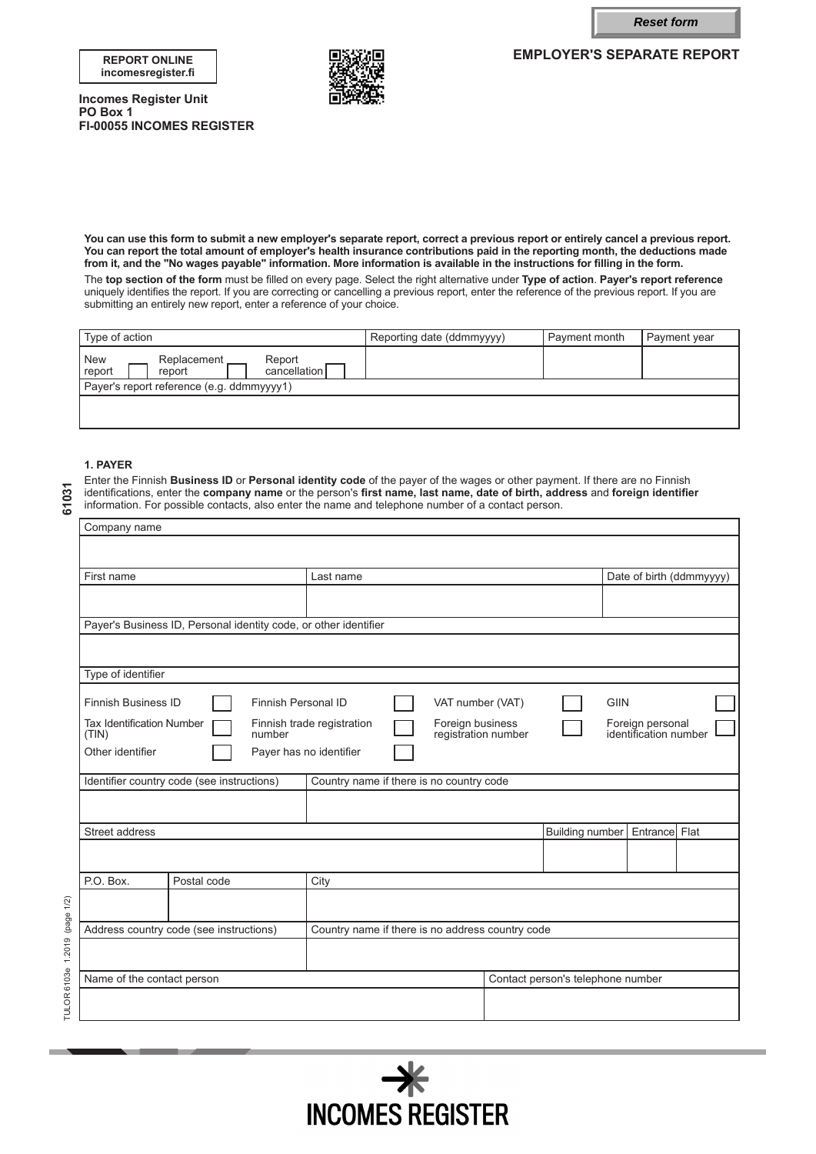**Reset form**

**EMPLOYER'S SEPARATE REPORT**

#### **REPORT ONLINE incomesregister.fi**



**Incomes Register Unit PO Box 1 FI-00055 INCOMES REGISTER**

**You can use this form to submit a new employer's separate report, correct a previous report or entirely cancel a previous report. You can report the total amount of employer's health insurance contributions paid in the reporting month, the deductions made from it, and the "No wages payable" information. More information is available in the instructions for filling in the form.**

The **top section of the form** must be filled on every page. Select the right alternative under **Type of action**. **Payer's report reference** uniquely identifies the report. If you are correcting or cancelling a previous report, enter the reference of the previous report. If you are submitting an entirely new report, enter a reference of your choice.

| Type of action                                                      | Reporting date (ddmmyyyy) | Payment month | Payment year |  |  |  |
|---------------------------------------------------------------------|---------------------------|---------------|--------------|--|--|--|
| New<br>Replacement.<br>Report<br>report<br>cancellation I<br>report |                           |               |              |  |  |  |
| Payer's report reference (e.g. ddmmyyyy1)                           |                           |               |              |  |  |  |
|                                                                     |                           |               |              |  |  |  |

# **1. PAYER**

Enter the Finnish **Business ID** or **Personal identity code** of the payer of the wages or other payment. If there are no Finnish identifications, enter the **company name** or the person's **first name, last name, date of birth, address** and **foreign identifier** information. For possible contacts, also enter the name and telephone number of a contact person.

|                                                                                                                                                                             | Company name                                                                                |                                                                                        |                            |               |  |                                 |  |  |                                   |                                           |                          |
|-----------------------------------------------------------------------------------------------------------------------------------------------------------------------------|---------------------------------------------------------------------------------------------|----------------------------------------------------------------------------------------|----------------------------|---------------|--|---------------------------------|--|--|-----------------------------------|-------------------------------------------|--------------------------|
|                                                                                                                                                                             |                                                                                             |                                                                                        |                            |               |  |                                 |  |  |                                   |                                           |                          |
|                                                                                                                                                                             | First name                                                                                  |                                                                                        |                            | Last name     |  |                                 |  |  |                                   |                                           | Date of birth (ddmmyyyy) |
|                                                                                                                                                                             |                                                                                             |                                                                                        |                            |               |  |                                 |  |  |                                   |                                           |                          |
|                                                                                                                                                                             | Payer's Business ID, Personal identity code, or other identifier                            |                                                                                        |                            |               |  |                                 |  |  |                                   |                                           |                          |
|                                                                                                                                                                             |                                                                                             |                                                                                        |                            |               |  |                                 |  |  |                                   |                                           |                          |
|                                                                                                                                                                             | Type of identifier                                                                          |                                                                                        |                            |               |  |                                 |  |  |                                   |                                           |                          |
|                                                                                                                                                                             | <b>Finnish Business ID</b>                                                                  |                                                                                        | <b>Finnish Personal ID</b> |               |  | <b>GIIN</b><br>VAT number (VAT) |  |  |                                   |                                           |                          |
| <b>Tax Identification Number</b><br>Foreign business<br>Finnish trade registration<br>registration number<br>(TIN)<br>number<br>Other identifier<br>Payer has no identifier |                                                                                             |                                                                                        |                            |               |  |                                 |  |  |                                   | Foreign personal<br>identification number |                          |
|                                                                                                                                                                             |                                                                                             |                                                                                        |                            |               |  |                                 |  |  |                                   |                                           |                          |
|                                                                                                                                                                             |                                                                                             | Country name if there is no country code<br>Identifier country code (see instructions) |                            |               |  |                                 |  |  |                                   |                                           |                          |
|                                                                                                                                                                             |                                                                                             |                                                                                        |                            |               |  |                                 |  |  |                                   |                                           |                          |
|                                                                                                                                                                             | Street address<br><b>Building number</b>                                                    |                                                                                        |                            | Entrance Flat |  |                                 |  |  |                                   |                                           |                          |
|                                                                                                                                                                             |                                                                                             |                                                                                        |                            |               |  |                                 |  |  |                                   |                                           |                          |
|                                                                                                                                                                             | P.O. Box.                                                                                   | Postal code                                                                            |                            | City          |  |                                 |  |  |                                   |                                           |                          |
| 1.2019 (page 1/2)                                                                                                                                                           |                                                                                             |                                                                                        |                            |               |  |                                 |  |  |                                   |                                           |                          |
|                                                                                                                                                                             | Country name if there is no address country code<br>Address country code (see instructions) |                                                                                        |                            |               |  |                                 |  |  |                                   |                                           |                          |
|                                                                                                                                                                             |                                                                                             |                                                                                        |                            |               |  |                                 |  |  |                                   |                                           |                          |
|                                                                                                                                                                             | Name of the contact person                                                                  |                                                                                        |                            |               |  |                                 |  |  | Contact person's telephone number |                                           |                          |
| TULOR 6103e                                                                                                                                                                 |                                                                                             |                                                                                        |                            |               |  |                                 |  |  |                                   |                                           |                          |